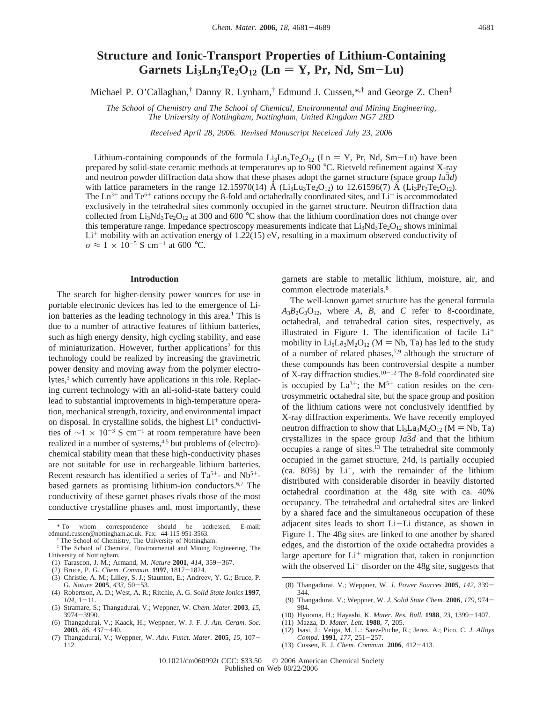# **Structure and Ionic-Transport Properties of Lithium-Containing**  $Garnets$   $Li_3Ln_3Te_2O_{12}$   $(Ln = Y, Pr, Nd, Sm-Lu)$

Michael P. O'Callaghan,<sup>†</sup> Danny R. Lynham,<sup>†</sup> Edmund J. Cussen,<sup>\*,†</sup> and George Z. Chen<sup>‡</sup>

*The School of Chemistry and The School of Chemical, En*V*ironmental and Mining Engineering, The Uni*V*ersity of Nottingham, Nottingham, United Kingdom NG7 2RD*

*Recei*V*ed April 28, 2006. Re*V*ised Manuscript Recei*V*ed July 23, 2006*

Lithium-containing compounds of the formula  $Li_3Ln_3Te_2O_{12}$  (Ln = Y, Pr, Nd, Sm-Lu) have been prepared by solid-state ceramic methods at temperatures up to 900 °C. Rietveld refinement against X-ray and neutron powder diffraction data show that these phases adopt the garnet structure (space group *I*a3*d*) with lattice parameters in the range 12.15970(14) Å (Li<sub>3</sub>Lu<sub>3</sub>Te<sub>2</sub>O<sub>12</sub>) to 12.61596(7) Å (Li<sub>3</sub>Pr<sub>3</sub>Te<sub>2</sub>O<sub>12</sub>). The  $Ln^{3+}$  and  $Te^{6+}$  cations occupy the 8-fold and octahedrally coordinated sites, and  $Li^+$  is accommodated exclusively in the tetrahedral sites commonly occupied in the garnet structure. Neutron diffraction data collected from  $Li_3Nd_3Te_2O_{12}$  at 300 and 600 °C show that the lithium coordination does not change over this temperature range. Impedance spectroscopy measurements indicate that  $Li<sub>3</sub>Nd<sub>3</sub>Te<sub>2</sub>O<sub>12</sub>$  shows minimal  $Li<sup>+</sup>$  mobility with an activation energy of 1.22(15) eV, resulting in a maximum observed conductivity of  $\sigma \approx 1 \times 10^{-5}$  S cm<sup>-1</sup> at 600 °C.

## **Introduction**

The search for higher-density power sources for use in portable electronic devices has led to the emergence of Liion batteries as the leading technology in this area.<sup>1</sup> This is due to a number of attractive features of lithium batteries, such as high energy density, high cycling stability, and ease of miniaturization. However, further applications<sup>2</sup> for this technology could be realized by increasing the gravimetric power density and moving away from the polymer electrolytes,<sup>3</sup> which currently have applications in this role. Replacing current technology with an all-solid-state battery could lead to substantial improvements in high-temperature operation, mechanical strength, toxicity, and environmental impact on disposal. In crystalline solids, the highest  $Li^+$  conductivities of  $\sim$ 1 × 10<sup>-3</sup> S cm<sup>-1</sup> at room temperature have been realized in a number of systems,<sup>4,5</sup> but problems of (electro)chemical stability mean that these high-conductivity phases are not suitable for use in rechargeable lithium batteries. Recent research has identified a series of  $Ta^{5+}$ - and  $Nb^{5+}$ based garnets as promising lithium-ion conductors.<sup>6,7</sup> The conductivity of these garnet phases rivals those of the most conductive crystalline phases and, most importantly, these

garnets are stable to metallic lithium, moisture, air, and common electrode materials.<sup>8</sup>

The well-known garnet structure has the general formula  $A_3B_2C_3O_{12}$ , where *A*, *B*, and *C* refer to 8-coordinate, octahedral, and tetrahedral cation sites, respectively, as illustrated in Figure 1. The identification of facile  $Li<sup>+</sup>$ mobility in  $Li_5La_3M_2O_{12}$  (M = Nb, Ta) has led to the study of a number of related phases,<sup>7,9</sup> although the structure of these compounds has been controversial despite a number of X-ray diffraction studies. $10^{-12}$  The 8-fold coordinated site is occupied by  $La^{3+}$ ; the  $M^{5+}$  cation resides on the centrosymmetric octahedral site, but the space group and position of the lithium cations were not conclusively identified by X-ray diffraction experiments. We have recently employed neutron diffraction to show that  $Li_5La_3M_2O_{12}$  (M = Nb, Ta) crystallizes in the space group  $Ia\overline{3}d$  and that the lithium occupies a range of sites.13 The tetrahedral site commonly occupied in the garnet structure, 24d, is partially occupied  $(ca. 80%)$  by  $Li<sup>+</sup>$ , with the remainder of the lithium distributed with considerable disorder in heavily distorted octahedral coordination at the 48g site with ca. 40% occupancy. The tetrahedral and octahedral sites are linked by a shared face and the simultaneous occupation of these adjacent sites leads to short Li-Li distance, as shown in Figure 1. The 48g sites are linked to one another by shared edges, and the distortion of the oxide octahedra provides a large aperture for  $Li^+$  migration that, taken in conjunction with the observed  $Li<sup>+</sup>$  disorder on the 48g site, suggests that

(8) Thangadurai, V.; Weppner, W. *J. Power Sources* **<sup>2005</sup>**, *<sup>142</sup>*, 339- 344.

- (11) Mazza, D. *Mater. Lett.* **1988**, *7*, 205.
- (12) Isasi, J.; Veiga, M. L.; Saez-Puche, R.; Jerez, A.; Pico, C. *J. Alloys Compd.* **<sup>1991</sup>**, *<sup>177</sup>*, 251-257.
- (13) Cussen, E. J. *Chem. Commun.* **<sup>2006</sup>**, 412-413.

<sup>\*</sup> To whom correspondence should be addressed. E-mail: edmund.cussen@nottingham.ac.uk. Fax: 44-115-951-3563.

<sup>†</sup> The School of Chemistry, The University of Nottingham.

<sup>‡</sup> The School of Chemical, Environmental and Mining Engineering, The University of Nottingham.

<sup>(1)</sup> Tarascon, J.-M.; Armand, M. *Nature* **<sup>2001</sup>**, *<sup>414</sup>*, 359-367.

<sup>(2)</sup> Bruce, P. G. *Chem. Commun.* **<sup>1997</sup>**, 1817-1824.

<sup>(3)</sup> Christie, A. M.; Lilley, S. J.; Staunton, E.; Andreev, Y. G.; Bruce, P. G. *Nature* **<sup>2005</sup>**, *<sup>433</sup>*, 50-53.

<sup>(4)</sup> Robertson, A. D.; West, A. R.; Ritchie, A. G. *Solid State Ionics* **1997**, *<sup>104</sup>*, 1-11. (5) Stramare, S.; Thangadurai, V.; Weppner, W. *Chem. Mater.* **2003**, *15*,

<sup>3974</sup>-3990.

<sup>(6)</sup> Thangadurai, V.; Kaack, H.; Weppner, W. J. F. *J. Am. Ceram. Soc.* **<sup>2003</sup>**, *<sup>86</sup>*, 437-440.

<sup>(7)</sup> Thangadurai, V.; Weppner, W. *Ad*V*. Funct. Mater.* **<sup>2005</sup>**, *<sup>15</sup>*, 107- 112.

<sup>(9)</sup> Thangadurai, V.; Weppner, W. *J. Solid State Chem.* **<sup>2006</sup>**, *<sup>179</sup>*, 974- 984.

<sup>(10)</sup> Hyooma, H.; Hayashi, K. *Mater. Res. Bull.* **<sup>1988</sup>**, *<sup>23</sup>*, 1399-1407.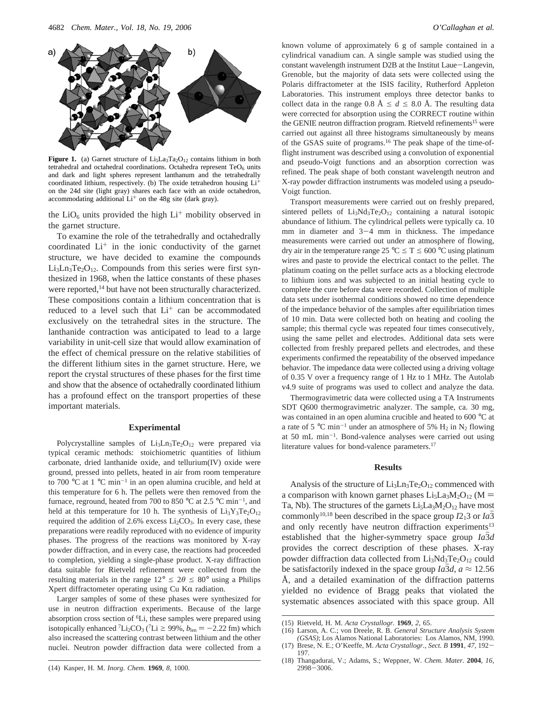

**Figure 1.** (a) Garnet structure of  $Li<sub>5</sub>La<sub>3</sub>Ta<sub>2</sub>O<sub>12</sub> contains lithium in both$ tetrahedral and octahedral coordinations. Octahedra represent  $TeO<sub>6</sub>$  units and dark and light spheres represent lanthanum and the tetrahedrally coordinated lithium, respectively. (b) The oxide tetrahedron housing  $Li<sup>+</sup>$ on the 24d site (light gray) shares each face with an oxide octahedron, accommodating additional  $Li<sup>+</sup>$  on the 48g site (dark gray).

the  $LiO<sub>6</sub>$  units provided the high  $Li<sup>+</sup>$  mobility observed in the garnet structure.

To examine the role of the tetrahedrally and octahedrally coordinated  $Li<sup>+</sup>$  in the ionic conductivity of the garnet structure, we have decided to examine the compounds  $Li<sub>3</sub>Ln<sub>3</sub>Te<sub>2</sub>O<sub>12</sub>$ . Compounds from this series were first synthesized in 1968, when the lattice constants of these phases were reported,<sup>14</sup> but have not been structurally characterized. These compositions contain a lithium concentration that is reduced to a level such that  $Li<sup>+</sup>$  can be accommodated exclusively on the tetrahedral sites in the structure. The lanthanide contraction was anticipated to lead to a large variability in unit-cell size that would allow examination of the effect of chemical pressure on the relative stabilities of the different lithium sites in the garnet structure. Here, we report the crystal structures of these phases for the first time and show that the absence of octahedrally coordinated lithium has a profound effect on the transport properties of these important materials.

## **Experimental**

Polycrystalline samples of Li<sub>3</sub>Ln<sub>3</sub>Te<sub>2</sub>O<sub>12</sub> were prepared via typical ceramic methods: stoichiometric quantities of lithium carbonate, dried lanthanide oxide, and tellurium(IV) oxide were ground, pressed into pellets, heated in air from room temperature to 700 °C at 1 °C min<sup>-1</sup> in an open alumina crucible, and held at this temperature for 6 h. The pellets were then removed from the furnace, reground, heated from 700 to 850  $^{\circ}$ C at 2.5  $^{\circ}$ C min<sup>-1</sup>, and held at this temperature for 10 h. The synthesis of  $Li<sub>3</sub>Y<sub>3</sub>Te<sub>2</sub>O<sub>12</sub>$ required the addition of 2.6% excess  $Li<sub>2</sub>CO<sub>3</sub>$ . In every case, these preparations were readily reproduced with no evidence of impurity phases. The progress of the reactions was monitored by X-ray powder diffraction, and in every case, the reactions had proceeded to completion, yielding a single-phase product. X-ray diffraction data suitable for Rietveld refinement were collected from the resulting materials in the range  $12^{\circ} \le 2\theta \le 80^{\circ}$  using a Philips Xpert diffractometer operating using  $Cu$  K $\alpha$  radiation.

Larger samples of some of these phases were synthesized for use in neutron diffraction experiments. Because of the large absorption cross section of 6Li, these samples were prepared using isotopically enhanced <sup>7</sup>Li<sub>2</sub>CO<sub>3</sub> (<sup>7</sup>Li  $\ge$  99%,  $b_{\text{len}} = -2.22$  fm) which also increased the scattering contrast between lithium and the other nuclei. Neutron powder diffraction data were collected from a

known volume of approximately 6 g of sample contained in a cylindrical vanadium can. A single sample was studied using the constant wavelength instrument D2B at the Institut Laue-Langevin, Grenoble, but the majority of data sets were collected using the Polaris diffractometer at the ISIS facility, Rutherford Appleton Laboratories. This instrument employs three detector banks to collect data in the range 0.8  $\AA \leq d \leq 8.0 \AA$ . The resulting data were corrected for absorption using the CORRECT routine within the GENIE neutron diffraction program. Rietveld refinements<sup>15</sup> were carried out against all three histograms simultaneously by means of the GSAS suite of programs.16 The peak shape of the time-offlight instrument was described using a convolution of exponential and pseudo-Voigt functions and an absorption correction was refined. The peak shape of both constant wavelength neutron and X-ray powder diffraction instruments was modeled using a pseudo-Voigt function.

Transport measurements were carried out on freshly prepared, sintered pellets of  $Li_3Nd_3Te_2O_{12}$  containing a natural isotopic abundance of lithium. The cylindrical pellets were typically ca. 10 mm in diameter and 3-4 mm in thickness. The impedance measurements were carried out under an atmosphere of flowing, dry air in the temperature range  $25 \text{ °C} \leq T \leq 600 \text{ °C}$  using platinum wires and paste to provide the electrical contact to the pellet. The platinum coating on the pellet surface acts as a blocking electrode to lithium ions and was subjected to an initial heating cycle to complete the cure before data were recorded. Collection of multiple data sets under isothermal conditions showed no time dependence of the impedance behavior of the samples after equilibriation times of 10 min. Data were collected both on heating and cooling the sample; this thermal cycle was repeated four times consecutively, using the same pellet and electrodes. Additional data sets were collected from freshly prepared pellets and electrodes, and these experiments confirmed the repeatability of the observed impedance behavior. The impedance data were collected using a driving voltage of 0.35 V over a frequency range of 1 Hz to 1 MHz. The Autolab v4.9 suite of programs was used to collect and analyze the data.

Thermogravimetric data were collected using a TA Instruments SDT Q600 thermogravimetric analyzer. The sample, ca. 30 mg, was contained in an open alumina crucible and heated to 600 °C at a rate of 5 °C min<sup>-1</sup> under an atmosphere of 5%  $H_2$  in N<sub>2</sub> flowing at 50 mL min-1. Bond-valence analyses were carried out using literature values for bond-valence parameters.17

#### **Results**

Analysis of the structure of  $Li<sub>3</sub>Ln<sub>3</sub>Te<sub>2</sub>O<sub>12</sub>$  commenced with a comparison with known garnet phases  $Li<sub>5</sub>La<sub>3</sub>M<sub>2</sub>O<sub>12</sub>$  (M = Ta, Nb). The structures of the garnets  $Li<sub>5</sub>La<sub>3</sub>M<sub>2</sub>O<sub>12</sub>$  have most commonly<sup>10,18</sup> been described in the space group  $I2_13$  or  $Ia3$ and only recently have neutron diffraction experiments<sup>13</sup> established that the higher-symmetry space group *Ia3d* provides the correct description of these phases. X-ray powder diffraction data collected from  $Li_3Nd_3Te_2O_{12}$  could be satisfactorily indexed in the space group *Ia3d*,  $a \approx 12.56$ Å, and a detailed examination of the diffraction patterns yielded no evidence of Bragg peaks that violated the systematic absences associated with this space group. All

<sup>(15)</sup> Rietveld, H. M. *Acta Crystallogr.* **1969**, *2*, 65.

<sup>(16)</sup> Larson, A. C.; von Dreele, R. B. *General Structure Analysis System (GSAS)*; Los Alamos National Laboratories: Los Alamos, NM, 1990.

<sup>(17)</sup> Brese, N. E.; O'Keeffe, M. *Acta Crystallogr., Sect. B* **<sup>1991</sup>**, *<sup>47</sup>*, 192- 197.

<sup>(18)</sup> Thangadurai, V.; Adams, S.; Weppner, W. *Chem. Mater.* **2004**, *16*,  $2998 - 3006$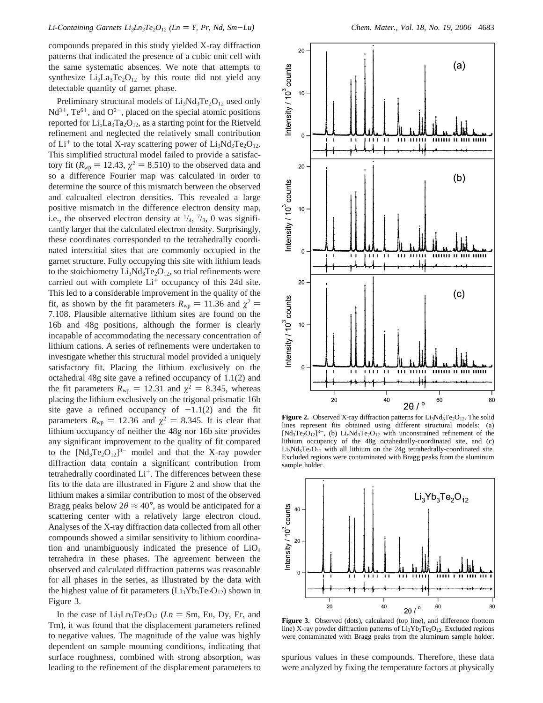compounds prepared in this study yielded X-ray diffraction patterns that indicated the presence of a cubic unit cell with the same systematic absences. We note that attempts to synthesize  $Li_3La_3Te_2O_{12}$  by this route did not yield any detectable quantity of garnet phase.

Preliminary structural models of Li<sub>3</sub>Nd<sub>3</sub>Te<sub>2</sub>O<sub>12</sub> used only  $Nd^{3+}$ , Te<sup>6+</sup>, and  $O^{2-}$ , placed on the special atomic positions reported for  $Li<sub>5</sub>La<sub>3</sub>Ta<sub>2</sub>O<sub>12</sub>$ , as a starting point for the Rietveld refinement and neglected the relatively small contribution of  $Li^+$  to the total X-ray scattering power of  $Li_3Nd_3Te_2O_{12}$ . This simplified structural model failed to provide a satisfactory fit ( $R_{wp}$  = 12.43,  $\chi^2$  = 8.510) to the observed data and so a difference Fourier map was calculated in order to determine the source of this mismatch between the observed and calcualted electron densities. This revealed a large positive mismatch in the difference electron density map, i.e., the observed electron density at  $\frac{1}{4}$ ,  $\frac{7}{8}$ , 0 was significantly larger that the calculated electron density. Surprisingly, these coordinates corresponded to the tetrahedrally coordinated interstitial sites that are commonly occupied in the garnet structure. Fully occupying this site with lithium leads to the stoichiometry  $Li_3Nd_3Te_2O_{12}$ , so trial refinements were carried out with complete  $Li<sup>+</sup>$  occupancy of this 24d site. This led to a considerable improvement in the quality of the fit, as shown by the fit parameters  $R_{wp} = 11.36$  and  $\chi^2 =$ 7.108. Plausible alternative lithium sites are found on the 16b and 48g positions, although the former is clearly incapable of accommodating the necessary concentration of lithium cations. A series of refinements were undertaken to investigate whether this structural model provided a uniquely satisfactory fit. Placing the lithium exclusively on the octahedral 48g site gave a refined occupancy of 1.1(2) and the fit parameters  $R_{wp} = 12.31$  and  $\chi^2 = 8.345$ , whereas placing the lithium exclusively on the trigonal prismatic 16b site gave a refined occupancy of  $-1.1(2)$  and the fit parameters  $R_{\text{wp}} = 12.36$  and  $\chi^2 = 8.345$ . It is clear that lithium occupancy of neither the 48g nor 16b site provides any significant improvement to the quality of fit compared to the  $[Nd_3Te_2O_{12}]^{3-}$  model and that the X-ray powder diffraction data contain a significant contribution from tetrahedrally coordinated  $Li<sup>+</sup>$ . The differences between these fits to the data are illustrated in Figure 2 and show that the lithium makes a similar contribution to most of the observed Bragg peaks below  $2\theta \approx 40^{\circ}$ , as would be anticipated for a scattering center with a relatively large electron cloud. Analyses of the X-ray diffraction data collected from all other compounds showed a similar sensitivity to lithium coordination and unambiguously indicated the presence of  $LiO<sub>4</sub>$ tetrahedra in these phases. The agreement between the observed and calculated diffraction patterns was reasonable for all phases in the series, as illustrated by the data with the highest value of fit parameters  $(Li<sub>3</sub>Yb<sub>3</sub>Te<sub>2</sub>O<sub>12</sub>)$  shown in Figure 3.

In the case of  $Li_3Ln_3Te_2O_{12}$  (*Ln* = Sm, Eu, Dy, Er, and Tm), it was found that the displacement parameters refined to negative values. The magnitude of the value was highly dependent on sample mounting conditions, indicating that surface roughness, combined with strong absorption, was leading to the refinement of the displacement parameters to



**Figure 2.** Observed X-ray diffraction patterns for  $Li<sub>3</sub>Nd<sub>3</sub>Te<sub>2</sub>O<sub>12</sub>$ . The solid lines represent fits obtained using different structural models: (a)  $[Nd_3Te_2O_{12}]^{3-}$ , (b) Li<sub>x</sub>Nd<sub>3</sub>Te<sub>2</sub>O<sub>12</sub> with unconstrained refinement of the lithium occupancy of the 48g octahedrally-coordinated site, and (c) Li<sub>3</sub>Nd<sub>3</sub>Te<sub>2</sub>O<sub>12</sub> with all lithium on the 24g tetrahedrally-coordinated site. Excluded regions were contaminated with Bragg peaks from the aluminum sample holder.



**Figure 3.** Observed (dots), calculated (top line), and difference (bottom line) X-ray powder diffraction patterns of  $Li_3Yb_3Te_2O_{12}$ . Excluded regions were contaminated with Bragg peaks from the aluminum sample holder.

spurious values in these compounds. Therefore, these data were analyzed by fixing the temperature factors at physically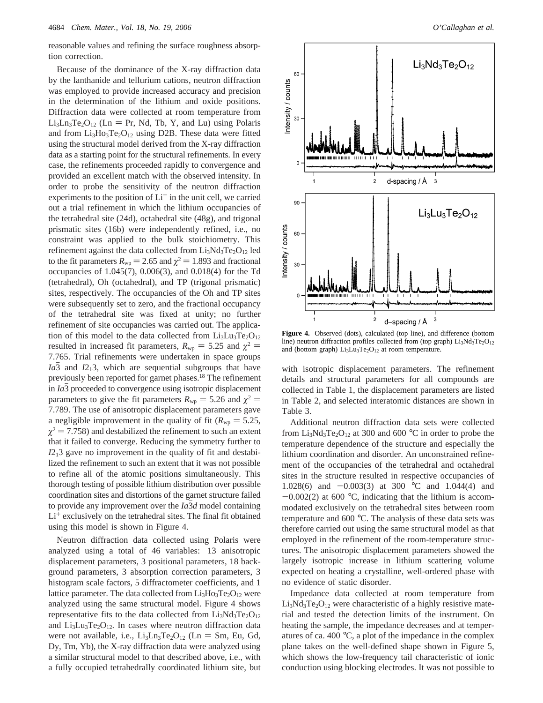reasonable values and refining the surface roughness absorption correction.

Because of the dominance of the X-ray diffraction data by the lanthanide and tellurium cations, neutron diffraction was employed to provide increased accuracy and precision in the determination of the lithium and oxide positions. Diffraction data were collected at room temperature from  $Li<sub>3</sub>Ln<sub>3</sub>Te<sub>2</sub>O<sub>12</sub>$  (Ln = Pr, Nd, Tb, Y, and Lu) using Polaris and from  $Li<sub>3</sub>Ho<sub>3</sub>Te<sub>2</sub>O<sub>12</sub>$  using D2B. These data were fitted using the structural model derived from the X-ray diffraction data as a starting point for the structural refinements. In every case, the refinements proceeded rapidly to convergence and provided an excellent match with the observed intensity. In order to probe the sensitivity of the neutron diffraction experiments to the position of  $Li<sup>+</sup>$  in the unit cell, we carried out a trial refinement in which the lithium occupancies of the tetrahedral site (24d), octahedral site (48g), and trigonal prismatic sites (16b) were independently refined, i.e., no constraint was applied to the bulk stoichiometry. This refinement against the data collected from  $Li<sub>3</sub>Nd<sub>3</sub>Te<sub>2</sub>O<sub>12</sub>$  led to the fit parameters  $R_{wp} = 2.65$  and  $\chi^2 = 1.893$  and fractional occupancies of 1.045(7), 0.006(3), and 0.018(4) for the Td (tetrahedral), Oh (octahedral), and TP (trigonal prismatic) sites, respectively. The occupancies of the Oh and TP sites were subsequently set to zero, and the fractional occupancy of the tetrahedral site was fixed at unity; no further refinement of site occupancies was carried out. The application of this model to the data collected from  $Li_3Lu_3Te_2O_{12}$ resulted in increased fit parameters,  $R_{wp} = 5.25$  and  $\chi^2 =$ 7.765. Trial refinements were undertaken in space groups *Ia*3 and *I*2<sub>1</sub>3, which are sequential subgroups that have previously been reported for garnet phases.18 The refinement in *Ia*3 proceeded to convergence using isotropic displacement parameters to give the fit parameters  $R_{wp} = 5.26$  and  $\chi^2 =$ 7.789. The use of anisotropic displacement parameters gave a negligible improvement in the quality of fit ( $R_{wp} = 5.25$ ,  $\chi^2$  = 7.758) and destabilized the refinement to such an extent that it failed to converge. Reducing the symmetry further to *I*213 gave no improvement in the quality of fit and destabilized the refinement to such an extent that it was not possible to refine all of the atomic positions simultaneously. This thorough testing of possible lithium distribution over possible coordination sites and distortions of the garnet structure failed to provide any improvement over the *Ia3d* model containing  $Li<sup>+</sup>$  exclusively on the tetrahedral sites. The final fit obtained using this model is shown in Figure 4.

Neutron diffraction data collected using Polaris were analyzed using a total of 46 variables: 13 anisotropic displacement parameters, 3 positional parameters, 18 background parameters, 3 absorption correction parameters, 3 histogram scale factors, 5 diffractometer coefficients, and 1 lattice parameter. The data collected from  $Li<sub>3</sub>Ho<sub>3</sub>Te<sub>2</sub>O<sub>12</sub>$  were analyzed using the same structural model. Figure 4 shows representative fits to the data collected from  $Li<sub>3</sub>Nd<sub>3</sub>Te<sub>2</sub>O<sub>12</sub>$ and  $Li<sub>3</sub>Lu<sub>3</sub>Te<sub>2</sub>O<sub>12</sub>$ . In cases where neutron diffraction data were not available, i.e.,  $Li_3Ln_3Te_2O_{12}$  (Ln = Sm, Eu, Gd, Dy, Tm, Yb), the X-ray diffraction data were analyzed using a similar structural model to that described above, i.e., with a fully occupied tetrahedrally coordinated lithium site, but



**Figure 4.** Observed (dots), calculated (top line), and difference (bottom line) neutron diffraction profiles collected from (top graph)  $Li<sub>3</sub>Nd<sub>3</sub>Te<sub>2</sub>O<sub>12</sub>$ and (bottom graph)  $Li<sub>3</sub>Lu<sub>3</sub>Te<sub>2</sub>O<sub>12</sub>$  at room temperature.

with isotropic displacement parameters. The refinement details and structural parameters for all compounds are collected in Table 1, the displacement parameters are listed in Table 2, and selected interatomic distances are shown in Table 3.

Additional neutron diffraction data sets were collected from  $Li_3Nd_3Te_2O_{12}$  at 300 and 600 °C in order to probe the temperature dependence of the structure and especially the lithium coordination and disorder. An unconstrained refinement of the occupancies of the tetrahedral and octahedral sites in the structure resulted in respective occupancies of 1.028(6) and  $-0.003(3)$  at 300 °C and 1.044(4) and  $-0.002(2)$  at 600 °C, indicating that the lithium is accommodated exclusively on the tetrahedral sites between room temperature and 600 °C. The analysis of these data sets was therefore carried out using the same structural model as that employed in the refinement of the room-temperature structures. The anisotropic displacement parameters showed the largely isotropic increase in lithium scattering volume expected on heating a crystalline, well-ordered phase with no evidence of static disorder.

Impedance data collected at room temperature from  $Li<sub>3</sub>Nd<sub>3</sub>Te<sub>2</sub>O<sub>12</sub>$  were characteristic of a highly resistive material and tested the detection limits of the instrument. On heating the sample, the impedance decreases and at temperatures of ca. 400 °C, a plot of the impedance in the complex plane takes on the well-defined shape shown in Figure 5, which shows the low-frequency tail characteristic of ionic conduction using blocking electrodes. It was not possible to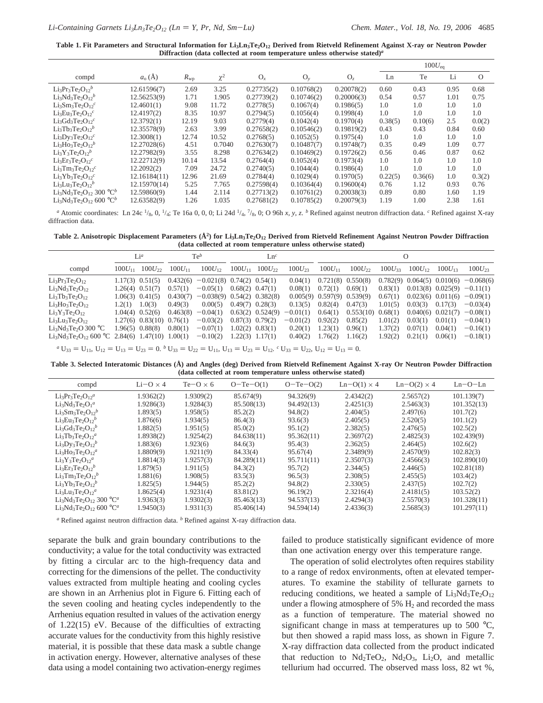Table 1. Fit Parameters and Structural Information for Li<sub>3</sub>Ln<sub>3</sub>Te<sub>2</sub>O<sub>12</sub> Derived from Rietveld Refinement Against X-ray or Neutron Powder **Diffraction (data collected at room temperature unless otherwise stated)***<sup>a</sup>*

|                                                                                     |              |              |          |            |            |            |         | $100U_{eq}$ |      |          |
|-------------------------------------------------------------------------------------|--------------|--------------|----------|------------|------------|------------|---------|-------------|------|----------|
| compd                                                                               | $a_0(A)$     | $R_{\rm WD}$ | $\chi^2$ | $O_{x}$    | $O_v$      | $O_z$      | Ln      | Te          | Li   | $\Omega$ |
| $Li_3Pr_3Te_2O_1e^b$                                                                | 12.61596(7)  | 2.69         | 3.25     | 0.27735(2) | 0.10768(2) | 0.20078(2) | 0.60    | 0.43        | 0.95 | 0.68     |
| Li <sub>3</sub> Nd <sub>3</sub> Te <sub>2</sub> O <sub>12</sub> <sup>b</sup>        | 12.56253(9)  | 1.71         | 1.905    | 0.27739(2) | 0.10746(2) | 0.20006(3) | 0.54    | 0.57        | 1.01 | 0.75     |
| $Li_3Sm_3Te_2O_{12}c$                                                               | 12.4601(1)   | 9.08         | 11.72    | 0.2778(5)  | 0.1067(4)  | 0.1986(5)  | 1.0     | 1.0         | 1.0  | 1.0      |
| Li <sub>3</sub> Eu <sub>3</sub> Te <sub>2</sub> O <sub>12</sub> <sup>c</sup>        | 12.4197(2)   | 8.35         | 10.97    | 0.2794(5)  | 0.1056(4)  | 0.1998(4)  | 1.0     | 1.0         | 1.0  | 1.0      |
| $Li3Gd3Te2O12c$                                                                     | 12.3792(1)   | 12.19        | 9.03     | 0.2779(4)  | 0.1042(4)  | 0.1970(4)  | 0.38(5) | 0.10(6)     | 2.5  | 0.0(2)   |
| $Li3Tb3Te2O12$                                                                      | 12.35578(9)  | 2.63         | 3.99     | 0.27658(2) | 0.10546(2) | 0.19819(2) | 0.43    | 0.43        | 0.84 | 0.60     |
| $Li_3Dy_3Te_2O_{12}c$                                                               | 12.3008(1)   | 12.74        | 10.52    | 0.2768(5)  | 0.1052(5)  | 0.1975(4)  | 1.0     | 1.0         | 1.0  | 1.0      |
| Li <sub>3</sub> H <sub>03</sub> Te <sub>2</sub> O <sub>12</sub> <sup>b</sup>        | 12.27028(6)  | 4.51         | 0.7040   | 0.27630(7) | 0.10487(7) | 0.19748(7) | 0.35    | 0.49        | 1.09 | 0.77     |
| $Li_3Y_3Te_2O_{12}b$                                                                | 12.27982(9)  | 3.55         | 8.298    | 0.27634(2) | 0.10469(2) | 0.19726(2) | 0.56    | 0.46        | 0.87 | 0.62     |
| $Li3Er3Te2O12c$                                                                     | 12.22712(9)  | 10.14        | 13.54    | 0.2764(4)  | 0.1052(4)  | 0.1973(4)  | 1.0     | 1.0         | 1.0  | 1.0      |
| $Li3 Tm3 Te2O12c$                                                                   | 12.2092(2)   | 7.09         | 24.72    | 0.2740(5)  | 0.1044(4)  | 0.1986(4)  | 1.0     | 1.0         | 1.0  | 1.0      |
| $Li_3Yb_3Te_2O_1c^c$                                                                | 12.16184(11) | 12.96        | 21.69    | 0.2784(4)  | 0.1029(4)  | 0.1970(5)  | 0.22(5) | 0.36(6)     | 1.0  | 0.3(2)   |
| Li <sub>3</sub> Lu <sub>3</sub> Te <sub>2</sub> O <sub>12</sub> <sup>b</sup>        | 12.15970(14) | 5.25         | 7.765    | 0.27598(4) | 0.10364(4) | 0.19600(4) | 0.76    | 1.12        | 0.93 | 0.76     |
| Li <sub>3</sub> Nd <sub>3</sub> Te <sub>2</sub> O <sub>12</sub> 300 °C <sup>b</sup> | 12.59860(9)  | 1.44         | 2.114    | 0.27713(2) | 0.10761(2) | 0.20038(3) | 0.89    | 0.80        | 1.60 | 1.19     |
| Li <sub>3</sub> Nd <sub>3</sub> Te <sub>2</sub> O <sub>12</sub> 600 °C <sup>b</sup> | 12.63582(9)  | 1.26         | 1.035    | 0.27681(2) | 0.10785(2) | 0.20079(3) | 1.19    | 1.00        | 2.38 | 1.61     |

*<sup>a</sup>* Atomic coordinates: Ln 24c 1/8, 0, 1/4; Te 16a 0, 0, 0; Li 24d 1/4, 7/8, 0; O 96h *x, y, z*. *<sup>b</sup>* Refined against neutron diffraction data. *<sup>c</sup>* Refined against X-ray diffraction data.

Table 2. Anisotropic Displacement Parameters (Å<sup>2</sup>) for Li<sub>3</sub>Ln<sub>3</sub>Te<sub>2</sub>O<sub>12</sub> Derived from Rietveld Refinement Against Neutron Powder Diffraction **(data collected at room temperature unless otherwise stated)**

|                                                                                                 | $Te^b$<br>Li <sup>a</sup> |                                | Ln <sup>c</sup> |                                      |             | O                    |             |                                  |                       |             |             |                       |                                              |
|-------------------------------------------------------------------------------------------------|---------------------------|--------------------------------|-----------------|--------------------------------------|-------------|----------------------|-------------|----------------------------------|-----------------------|-------------|-------------|-----------------------|----------------------------------------------|
| compd                                                                                           | $100U_{11}$               | $100U_{22}$                    | $100U_{11}$     | $100U_{12}$                          | $100U_{11}$ | $100U_{22}$          | $100U_{23}$ | $100U_{11}$                      | $100U_{22}$           | $100U_{33}$ | $100U_{12}$ | $100U_{13}$           | $100U_{23}$                                  |
| $Li_3Pr_3Te_2O_{12}$                                                                            |                           | $1.17(3)$ $0.51(5)$            |                 | $0.432(6) -0.021(8) 0.74(2) 0.54(1)$ |             |                      | 0.04(1)     |                                  | $0.721(8)$ $0.550(8)$ |             |             |                       | $0.782(9)$ $0.064(5)$ $0.010(6)$ $-0.068(6)$ |
| $Li3Nd3Te2O12$                                                                                  |                           | $1.26(4)$ $0.51(7)$            | 0.57(1)         | $-0.05(1)$                           |             | $0.68(2)$ $0.47(1)$  | 0.08(1)     | 0.72(1)                          | 0.69(1)               | 0.83(1)     |             |                       | $0.013(8)$ $0.025(9)$ $-0.11(1)$             |
| $Li3Tb3Te2O12$                                                                                  |                           | $1.06(3)$ $0.41(5)$            | 0.430(7)        | $-0.038(9)$ 0.54(2) 0.382(8)         |             |                      |             | $0.005(9)$ $0.597(9)$ $0.539(9)$ |                       | 0.67(1)     |             |                       | $0.023(6)$ $0.011(6)$ $-0.09(1)$             |
| $Li3Ho3Te2O12$                                                                                  | 1.2(1)                    | 1.0(3)                         | 0.49(3)         | 0.00(5)                              |             | $0.49(7)$ $0.28(3)$  | 0.13(5)     | 0.82(4)                          | 0.47(3)               | 1.01(5)     | 0.03(3)     | 0.17(3)               | $-0.03(4)$                                   |
| $Li_3Y_3Te_2O_{12}$                                                                             |                           | $1.04(4)$ $0.52(6)$            | 0.463(8)        | $-0.04(1)$                           |             | $0.63(2)$ $0.524(9)$ | $-0.01(1)$  | 0.64(1)                          | 0.553(10)             | 0.68(1)     |             | $0.040(6)$ $0.021(7)$ | $-0.08(1)$                                   |
| $Li3Lu3Te2O12$                                                                                  |                           | $1.27(6)$ $0.83(10)$ $0.76(1)$ |                 | $-0.03(2)$                           |             | $0.87(3)$ $0.79(2)$  | $-0.01(2)$  | 0.92(2)                          | 0.85(2)               | 1.01(2)     | 0.03(1)     | 0.01(1)               | $-0.04(1)$                                   |
| Li <sub>3</sub> Nd <sub>3</sub> Te <sub>2</sub> O 300 °C                                        |                           | 1.96(5) 0.88(8)                | 0.80(1)         | $-0.07(1)$                           |             | $1.02(2)$ $0.83(1)$  | 0.20(1)     | 1.23(1)                          | 0.96(1)               | 1.37(2)     | 0.07(1)     | 0.04(1)               | $-0.16(1)$                                   |
| Li <sub>3</sub> Nd <sub>3</sub> Te <sub>2</sub> O <sub>12</sub> 600 °C 2.84(6) 1.47(10) 1.00(1) |                           |                                |                 | $-0.10(2)$                           |             | $1.22(3)$ $1.17(1)$  | 0.40(2)     | 1.76(2)                          | 1.16(2)               | 1.92(2)     | 0.21(1)     | 0.06(1)               | $-0.18(1)$                                   |

*a*  $U_{33} = U_{11}$ ,  $U_{12} = U_{13} = U_{23} = 0$ . *b*  $U_{33} = U_{22} = U_{11}$ ,  $U_{13} = U_{23} = U_{12}$ . *c*  $U_{33} = U_{22}$ ,  $U_{12} = U_{13} = 0$ .

**Table 3. Selected Interatomic Distances (Å) and Angles (deg) Derived from Rietveld Refinement Against X-ray Or Neutron Powder Diffraction (data collected at room temperature unless otherwise stated)**

| compd                                                                               | $Li-O \times 4$ | $Te-O \times 6$ | $O-Te-O(1)$ | $O-Te-O(2)$ | $Ln-O(1) \times 4$ | $Ln-O(2) \times 4$ | $Ln-O-Ln$   |
|-------------------------------------------------------------------------------------|-----------------|-----------------|-------------|-------------|--------------------|--------------------|-------------|
| $Li_3Pr_3Te_2O_{12}a$                                                               | 1.9362(2)       | 1.9309(2)       | 85.674(9)   | 94.326(9)   | 2.4342(2)          | 2.5657(2)          | 101.139(7)  |
| $Li_3Nd_3Te_2O_1^a$                                                                 | 1.9286(3)       | 1.9284(3)       | 85.508(13)  | 94.492(13)  | 2.4251(3)          | 2.5463(3)          | 101.352(13) |
| $Li3Sm3Te2O12$                                                                      | 1.893(5)        | 1.958(5)        | 85.2(2)     | 94.8(2)     | 2.404(5)           | 2.497(6)           | 101.7(2)    |
| Li <sub>3</sub> Eu <sub>3</sub> Te <sub>2</sub> O <sub>12</sub> <sup>b</sup>        | 1.876(6)        | 1.934(5)        | 86.4(3)     | 93.6(3)     | 2.405(5)           | 2.520(5)           | 101.1(2)    |
| $Li_3Gd_3Te_2O_{12}b$                                                               | 1.882(5)        | 1.951(5)        | 85.0(2)     | 95.1(2)     | 2.382(5)           | 2.476(5)           | 102.5(2)    |
| $Li3Tb3Te2O12a$                                                                     | 1.8938(2)       | 1.9254(2)       | 84.638(11)  | 95.362(11)  | 2.3697(2)          | 2.4825(3)          | 102.439(9)  |
| $Li_3Dy_3Te_2O_{12}b$                                                               | 1.883(6)        | 1.923(6)        | 84.6(3)     | 95.4(3)     | 2.362(5)           | 2.464(5)           | 102.6(2)    |
| $Li3Ho3Te2O12a$                                                                     | 1.8809(9)       | 1.9211(9)       | 84.33(4)    | 95.67(4)    | 2.3489(9)          | 2.4570(9)          | 102.82(3)   |
| $Li_3Y_3Te_2O_{12}^a$                                                               | 1.8814(3)       | 1.9257(3)       | 84.289(11)  | 95.711(11)  | 2.3507(3)          | 2.4566(3)          | 102.890(10) |
| $Li3Er3Te2O12$                                                                      | 1.879(5)        | 1.911(5)        | 84.3(2)     | 95.7(2)     | 2.344(5)           | 2.446(5)           | 102.81(18)  |
| $Li3 Tm3 Te2O12$                                                                    | 1.881(6)        | 1.908(5)        | 83.5(3)     | 96.5(3)     | 2.308(5)           | 2.455(5)           | 103.4(2)    |
| $Li3Yb3Te2O12$                                                                      | 1.825(5)        | 1.944(5)        | 85.2(2)     | 94.8(2)     | 2.330(5)           | 2.437(5)           | 102.7(2)    |
| $Li3Lu3Te2O12$                                                                      | 1.8625(4)       | 1.9231(4)       | 83.81(2)    | 96.19(2)    | 2.3216(4)          | 2.4181(5)          | 103.52(2)   |
| Li <sub>3</sub> Nd <sub>3</sub> Te <sub>2</sub> O <sub>12</sub> 300 °C <sup>a</sup> | 1.9363(3)       | 1.9302(3)       | 85.463(13)  | 94.537(13)  | 2.4294(3)          | 2.5570(3)          | 101.328(11) |
| Li <sub>3</sub> Nd <sub>3</sub> Te <sub>2</sub> O <sub>12</sub> 600 °C <sup>a</sup> | 1.9450(3)       | 1.9311(3)       | 85.406(14)  | 94.594(14)  | 2.4336(3)          | 2.5685(3)          | 101.297(11) |

*<sup>a</sup>* Refined against neutron diffraction data. *<sup>b</sup>* Refined against X-ray diffraction data.

separate the bulk and grain boundary contributions to the conductivity; a value for the total conductivity was extracted by fitting a circular arc to the high-frequency data and correcting for the dimensions of the pellet. The conductivity values extracted from multiple heating and cooling cycles are shown in an Arrhenius plot in Figure 6. Fitting each of the seven cooling and heating cycles independently to the Arrhenius equation resulted in values of the activation energy of 1.22(15) eV. Because of the difficulties of extracting accurate values for the conductivity from this highly resistive material, it is possible that these data mask a subtle change in activation energy. However, alternative analyses of these data using a model containing two activation-energy regimes failed to produce statistically significant evidence of more than one activation energy over this temperature range.

The operation of solid electrolytes often requires stability to a range of redox environments, often at elevated temperatures. To examine the stability of tellurate garnets to reducing conditions, we heated a sample of  $Li<sub>3</sub>Nd<sub>3</sub>Te<sub>2</sub>O<sub>12</sub>$ under a flowing atmosphere of  $5\%$   $H_2$  and recorded the mass as a function of temperature. The material showed no significant change in mass at temperatures up to 500  $^{\circ}C$ , but then showed a rapid mass loss, as shown in Figure 7. X-ray diffraction data collected from the product indicated that reduction to  $Nd_2TeO_2$ ,  $Nd_2O_3$ ,  $Li_2O$ , and metallic tellurium had occurred. The observed mass loss, 82 wt %,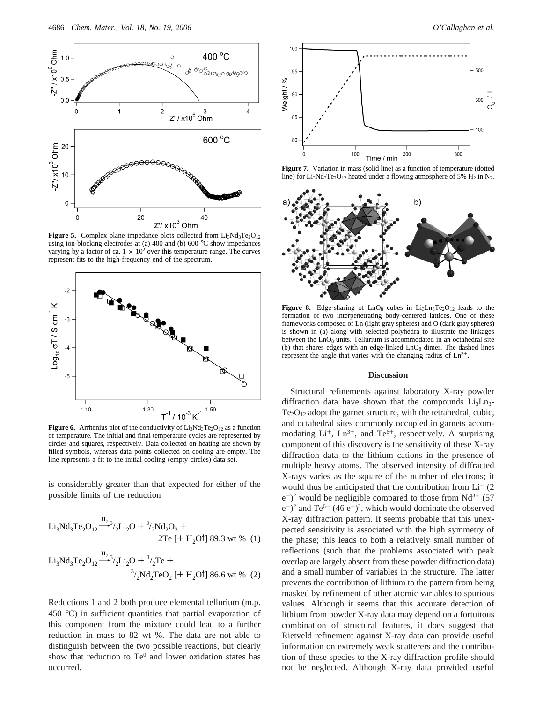

**Figure 5.** Complex plane impedance plots collected from Li<sub>3</sub>Nd<sub>3</sub>Te<sub>2</sub>O<sub>12</sub> using ion-blocking electrodes at (a) 400 and (b) 600 °C show impedances varying by a factor of ca.  $1 \times 10^2$  over this temperature range. The curves represent fits to the high-frequency end of the spectrum.



**Figure 6.** Arrhenius plot of the conductivity of  $Li<sub>3</sub>Nd<sub>3</sub>Te<sub>2</sub>O<sub>12</sub>$  as a function of temperature. The initial and final temperature cycles are represented by circles and squares, respectively. Data collected on heating are shown by filled symbols, whereas data points collected on cooling are empty. The line represents a fit to the initial cooling (empty circles) data set.

is considerably greater than that expected for either of the possible limits of the reduction

$$
Li_{3}Nd_{3}Te_{2}O_{12} \xrightarrow{H_{2}} \gamma_{2}Li_{2}O + \gamma_{2}Nd_{2}O_{3} + 2Te [+ H_{2}O^{\dagger}] 89.3 \text{ wt } \% (1)
$$
  

$$
Li_{3}Nd_{3}Te_{2}O_{12} \xrightarrow{H_{2}} \gamma_{2}Li_{2}O + \gamma_{2}Te + \gamma_{2}Nd_{2}TeO_{2} [+ H_{2}O^{\dagger}] 86.6 \text{ wt } \% (2)
$$

Reductions 1 and 2 both produce elemental tellurium (m.p. 450 °C) in sufficient quantities that partial evaporation of this component from the mixture could lead to a further reduction in mass to 82 wt %. The data are not able to distinguish between the two possible reactions, but clearly show that reduction to  $Te^{0}$  and lower oxidation states has occurred.



**Figure 7.** Variation in mass (solid line) as a function of temperature (dotted line) for Li<sub>3</sub>Nd<sub>3</sub>Te<sub>2</sub>O<sub>12</sub> heated under a flowing atmosphere of 5% H<sub>2</sub> in N<sub>2</sub>.



Figure 8. Edge-sharing of LnO<sub>8</sub> cubes in Li<sub>3</sub>Ln<sub>3</sub>Te<sub>2</sub>O<sub>12</sub> leads to the formation of two interpenetrating body-centered lattices. One of these frameworks composed of Ln (light gray spheres) and O (dark gray spheres) is shown in (a) along with selected polyhedra to illustrate the linkages between the  $LnO<sub>8</sub>$  units. Tellurium is accommodated in an octahedral site (b) that shares edges with an edge-linked  $LnO_8$  dimer. The dashed lines represent the angle that varies with the changing radius of Ln<sup>3+</sup>.

## **Discussion**

Structural refinements against laboratory X-ray powder diffraction data have shown that the compounds  $Li<sub>3</sub>Ln<sub>3</sub>$  $Te<sub>2</sub>O<sub>12</sub>$  adopt the garnet structure, with the tetrahedral, cubic, and octahedral sites commonly occupied in garnets accommodating  $Li^+$ ,  $Ln^{3+}$ , and  $Te^{6+}$ , respectively. A surprising component of this discovery is the sensitivity of these X-ray diffraction data to the lithium cations in the presence of multiple heavy atoms. The observed intensity of diffracted X-rays varies as the square of the number of electrons; it would thus be anticipated that the contribution from  $Li^+(2)$  $(e^{-})^2$  would be negligible compared to those from Nd<sup>3+</sup> (57)  $(e^{-})^2$  and T $(e^{6+} (46 e^{-})^2)$ , which would dominate the observed X-ray diffraction pattern. It seems probable that this unexpected sensitivity is associated with the high symmetry of the phase; this leads to both a relatively small number of reflections (such that the problems associated with peak overlap are largely absent from these powder diffraction data) and a small number of variables in the structure. The latter prevents the contribution of lithium to the pattern from being masked by refinement of other atomic variables to spurious values. Although it seems that this accurate detection of lithium from powder X-ray data may depend on a fortuitous combination of structural features, it does suggest that Rietveld refinement against X-ray data can provide useful information on extremely weak scatterers and the contribution of these species to the X-ray diffraction profile should not be neglected. Although X-ray data provided useful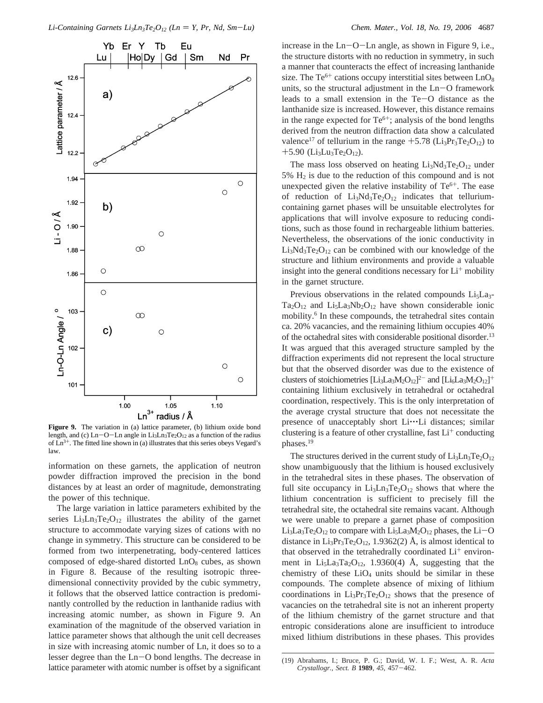

Figure 9. The variation in (a) lattice parameter, (b) lithium oxide bond length, and (c)  $Ln-O-Ln$  angle in  $Li<sub>3</sub>Ln<sub>3</sub>Te<sub>2</sub>O<sub>12</sub>$  as a function of the radius of  $Ln^{3+}$ . The fitted line shown in (a) illustrates that this series obeys Vegard's law.

information on these garnets, the application of neutron powder diffraction improved the precision in the bond distances by at least an order of magnitude, demonstrating the power of this technique.

The large variation in lattice parameters exhibited by the series  $Li_3Ln_3Te_2O_{12}$  illustrates the ability of the garnet structure to accommodate varying sizes of cations with no change in symmetry. This structure can be considered to be formed from two interpenetrating, body-centered lattices composed of edge-shared distorted  $LnO_8$  cubes, as shown in Figure 8. Because of the resulting isotropic threedimensional connectivity provided by the cubic symmetry, it follows that the observed lattice contraction is predominantly controlled by the reduction in lanthanide radius with increasing atomic number, as shown in Figure 9. An examination of the magnitude of the observed variation in lattice parameter shows that although the unit cell decreases in size with increasing atomic number of Ln, it does so to a lesser degree than the Ln-O bond lengths. The decrease in lattice parameter with atomic number is offset by a significant increase in the  $Ln-O-Ln$  angle, as shown in Figure 9, i.e., the structure distorts with no reduction in symmetry, in such a manner that counteracts the effect of increasing lanthanide size. The  $Te^{6+}$  cations occupy interstitial sites between  $LnO_8$ units, so the structural adjustment in the Ln-O framework leads to a small extension in the Te-O distance as the lanthanide size is increased. However, this distance remains in the range expected for  $Te^{6+}$ ; analysis of the bond lengths derived from the neutron diffraction data show a calculated valence<sup>17</sup> of tellurium in the range  $+5.78$  (Li<sub>3</sub>Pr<sub>3</sub>Te<sub>2</sub>O<sub>12</sub>) to  $+5.90$  (Li<sub>3</sub>Lu<sub>3</sub>Te<sub>2</sub>O<sub>12</sub>).

The mass loss observed on heating  $Li<sub>3</sub>Nd<sub>3</sub>Te<sub>2</sub>O<sub>12</sub>$  under 5%  $H_2$  is due to the reduction of this compound and is not unexpected given the relative instability of  $Te^{6+}$ . The ease of reduction of  $Li_3Nd_3Te_2O_{12}$  indicates that telluriumcontaining garnet phases will be unsuitable electrolytes for applications that will involve exposure to reducing conditions, such as those found in rechargeable lithium batteries. Nevertheless, the observations of the ionic conductivity in  $Li_3Nd_3Te_2O_{12}$  can be combined with our knowledge of the structure and lithium environments and provide a valuable insight into the general conditions necessary for  $Li^+$  mobility in the garnet structure.

Previous observations in the related compounds  $Li<sub>5</sub>La<sub>3</sub>$ - $Ta_2O_{12}$  and  $Li_5La_3Nb_2O_{12}$  have shown considerable ionic mobility.<sup>6</sup> In these compounds, the tetrahedral sites contain ca. 20% vacancies, and the remaining lithium occupies 40% of the octahedral sites with considerable positional disorder.13 It was argued that this averaged structure sampled by the diffraction experiments did not represent the local structure but that the observed disorder was due to the existence of clusters of stoichiometries  $[Li_3La_3M_2O_{12}]^2$  and  $[Li_6La_3M_2O_{12}]^+$ containing lithium exclusively in tetrahedral or octahedral coordination, respectively. This is the only interpretation of the average crystal structure that does not necessitate the presence of unacceptably short Li... Li distances; similar clustering is a feature of other crystalline, fast  $Li<sup>+</sup>$  conducting phases.19

The structures derived in the current study of  $Li<sub>3</sub>Ln<sub>3</sub>Te<sub>2</sub>O<sub>12</sub>$ show unambiguously that the lithium is housed exclusively in the tetrahedral sites in these phases. The observation of full site occupancy in  $Li<sub>3</sub>Ln<sub>3</sub>Te<sub>2</sub>O<sub>12</sub>$  shows that where the lithium concentration is sufficient to precisely fill the tetrahedral site, the octahedral site remains vacant. Although we were unable to prepare a garnet phase of composition Li<sub>3</sub>La<sub>3</sub>Te<sub>2</sub>O<sub>12</sub> to compare with Li<sub>5</sub>La<sub>3</sub>M<sub>2</sub>O<sub>12</sub> phases, the Li-O distance in  $Li_3Pr_3Te_2O_{12}$ , 1.9362(2) Å, is almost identical to that observed in the tetrahedrally coordinated  $Li<sup>+</sup>$  environment in  $Li_5La_3Ta_2O_{12}$ , 1.9360(4) Å, suggesting that the chemistry of these  $LiO<sub>4</sub>$  units should be similar in these compounds. The complete absence of mixing of lithium coordinations in  $Li_3Pr_3Te_2O_{12}$  shows that the presence of vacancies on the tetrahedral site is not an inherent property of the lithium chemistry of the garnet structure and that entropic considerations alone are insufficient to introduce mixed lithium distributions in these phases. This provides

<sup>(19)</sup> Abrahams, I.; Bruce, P. G.; David, W. I. F.; West, A. R. *Acta Crystallogr., Sect. B* **<sup>1989</sup>**, *<sup>45</sup>*, 457-462.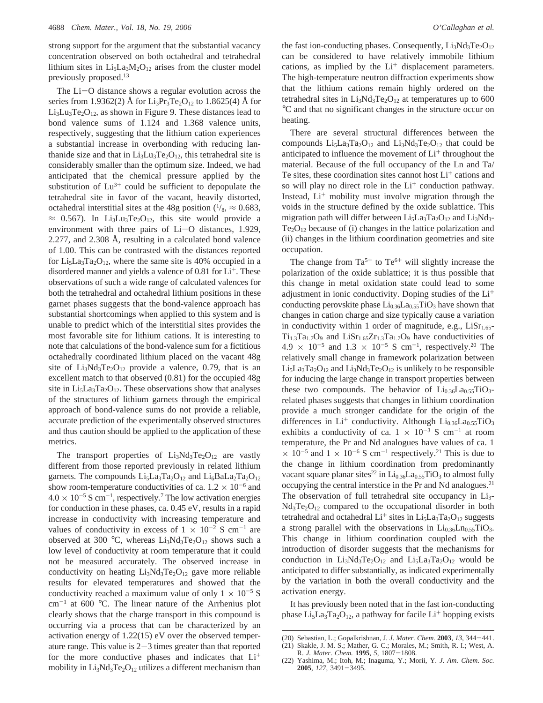strong support for the argument that the substantial vacancy concentration observed on both octahedral and tetrahedral lithium sites in  $Li<sub>5</sub>La<sub>3</sub>M<sub>2</sub>O<sub>12</sub>$  arises from the cluster model previously proposed.<sup>13</sup>

The  $Li-O$  distance shows a regular evolution across the series from 1.9362(2) Å for  $Li_3Pr_3Te_2O_{12}$  to 1.8625(4) Å for  $Li<sub>3</sub>Lu<sub>3</sub>Te<sub>2</sub>O<sub>12</sub>$ , as shown in Figure 9. These distances lead to bond valence sums of 1.124 and 1.368 valence units, respectively, suggesting that the lithium cation experiences a substantial increase in overbonding with reducing lanthanide size and that in  $Li<sub>3</sub>Lu<sub>3</sub>Te<sub>2</sub>O<sub>12</sub>$ , this tetrahedral site is considerably smaller than the optimum size. Indeed, we had anticipated that the chemical pressure applied by the substitution of  $Lu^{3+}$  could be sufficient to depopulate the tetrahedral site in favor of the vacant, heavily distorted, octahedral interstitial sites at the 48g position  $(1/8)$ ,  $\approx 0.683$ ,  $\approx$  0.567). In Li<sub>3</sub>Lu<sub>3</sub>Te<sub>2</sub>O<sub>12</sub>, this site would provide a environment with three pairs of  $Li-O$  distances, 1.929, 2.277, and 2.308 Å, resulting in a calculated bond valence of 1.00. This can be contrasted with the distances reported for  $Li<sub>5</sub>La<sub>3</sub>Ta<sub>2</sub>O<sub>12</sub>$ , where the same site is 40% occupied in a disordered manner and yields a valence of  $0.81$  for  $Li<sup>+</sup>$ . These observations of such a wide range of calculated valences for both the tetrahedral and octahedral lithium positions in these garnet phases suggests that the bond-valence approach has substantial shortcomings when applied to this system and is unable to predict which of the interstitial sites provides the most favorable site for lithium cations. It is interesting to note that calculations of the bond-valence sum for a fictitious octahedrally coordinated lithium placed on the vacant 48g site of  $Li_3Nd_3Te_2O_{12}$  provide a valence, 0.79, that is an excellent match to that observed (0.81) for the occupied 48g site in  $Li<sub>5</sub>La<sub>3</sub>Ta<sub>2</sub>O<sub>12</sub>$ . These observations show that analyses of the structures of lithium garnets through the empirical approach of bond-valence sums do not provide a reliable, accurate prediction of the experimentally observed structures and thus caution should be applied to the application of these metrics.

The transport properties of  $Li<sub>3</sub>Nd<sub>3</sub>Te<sub>2</sub>O<sub>12</sub>$  are vastly different from those reported previously in related lithium garnets. The compounds  $Li_5La_3Ta_2O_{12}$  and  $Li_6BaLa_2Ta_2O_{12}$ show room-temperature conductivities of ca.  $1.2 \times 10^{-6}$  and  $4.0 \times 10^{-5}$  S cm<sup>-1</sup>, respectively.<sup>7</sup> The low activation energies for conduction in these phases, ca. 0.45 eV, results in a rapid increase in conductivity with increasing temperature and values of conductivity in excess of  $1 \times 10^{-2}$  S cm<sup>-1</sup> are observed at 300 °C, whereas  $Li<sub>3</sub>Nd<sub>3</sub>Te<sub>2</sub>O<sub>12</sub>$  shows such a low level of conductivity at room temperature that it could not be measured accurately. The observed increase in conductivity on heating  $Li_3Nd_3Te_2O_{12}$  gave more reliable results for elevated temperatures and showed that the conductivity reached a maximum value of only  $1 \times 10^{-5}$  S  $cm^{-1}$  at 600 °C. The linear nature of the Arrhenius plot clearly shows that the charge transport in this compound is occurring via a process that can be characterized by an activation energy of 1.22(15) eV over the observed temperature range. This value is  $2-3$  times greater than that reported for the more conductive phases and indicates that  $Li<sup>+</sup>$ mobility in  $Li_3Nd_3Te_2O_{12}$  utilizes a different mechanism than the fast ion-conducting phases. Consequently,  $Li<sub>3</sub>Nd<sub>3</sub>Te<sub>2</sub>O<sub>12</sub>$ can be considered to have relatively immobile lithium cations, as implied by the  $Li<sup>+</sup>$  displacement parameters. The high-temperature neutron diffraction experiments show that the lithium cations remain highly ordered on the tetrahedral sites in  $Li<sub>3</sub>Nd<sub>3</sub>Te<sub>2</sub>O<sub>12</sub>$  at temperatures up to 600 °C and that no significant changes in the structure occur on heating.

There are several structural differences between the compounds  $Li_5La_3Ta_2O_{12}$  and  $Li_3Nd_3Te_2O_{12}$  that could be anticipated to influence the movement of  $Li<sup>+</sup>$  throughout the material. Because of the full occupancy of the Ln and Ta/ Te sites, these coordination sites cannot host  $Li<sup>+</sup>$  cations and so will play no direct role in the  $Li^+$  conduction pathway. Instead,  $Li<sup>+</sup>$  mobility must involve migration through the voids in the structure defined by the oxide sublattice. This migration path will differ between  $Li<sub>5</sub>La<sub>3</sub>Ta<sub>2</sub>O<sub>12</sub>$  and  $Li<sub>3</sub>Nd<sub>3</sub>$  $Te<sub>2</sub>O<sub>12</sub>$  because of (i) changes in the lattice polarization and (ii) changes in the lithium coordination geometries and site occupation.

The change from  $Ta^{5+}$  to  $Te^{6+}$  will slightly increase the polarization of the oxide sublattice; it is thus possible that this change in metal oxidation state could lead to some adjustment in ionic conductivity. Doping studies of the  $Li<sup>+</sup>$ conducting perovskite phase  $Li_{0.36}La_{0.55}TiO_3$  have shown that changes in cation charge and size typically cause a variation in conductivity within 1 order of magnitude, e.g.,  $Lisr<sub>1.65</sub>$ - $Ti_{1.3}Ta_{1.7}O_9$  and  $LiSr_{1.65}Zr_{1.3}Ta_{1.7}O_9$  have conductivities of 4.9  $\times$  10<sup>-5</sup> and 1.3  $\times$  10<sup>-5</sup> S cm<sup>-1</sup>, respectively.<sup>20</sup> The relatively small change in framework polarization between  $Li_5La_3Ta_2O_{12}$  and  $Li_3Nd_3Te_2O_{12}$  is unlikely to be responsible for inducing the large change in transport properties between these two compounds. The behavior of  $Li_{0.36}La_{0.55}TiO_3$ related phases suggests that changes in lithium coordination provide a much stronger candidate for the origin of the differences in  $Li^+$  conductivity. Although  $Li_{0.36}La_{0.55}TiO_3$ exhibits a conductivity of ca.  $1 \times 10^{-3}$  S cm<sup>-1</sup> at room temperature, the Pr and Nd analogues have values of ca. 1  $\times$  10<sup>-5</sup> and 1  $\times$  10<sup>-6</sup> S cm<sup>-1</sup> respectively.<sup>21</sup> This is due to the change in lithium coordination from predominantly vacant square planar sites<sup>22</sup> in  $Li_{0.36}La_{0.55}TiO_3$  to almost fully occupying the central interstice in the Pr and Nd analogues.<sup>21</sup> The observation of full tetrahedral site occupancy in Li<sub>3</sub>- $Nd<sub>3</sub>Te<sub>2</sub>O<sub>12</sub>$  compared to the occupational disorder in both tetrahedral and octahedral  $Li^+$  sites in  $Li_5La_3Ta_2O_{12}$  suggests a strong parallel with the observations in  $Li_{0.36}Ln_{0.55}TiO_3$ . This change in lithium coordination coupled with the introduction of disorder suggests that the mechanisms for conduction in  $Li_3Nd_3Te_2O_{12}$  and  $Li_5La_3Ta_2O_{12}$  would be anticipated to differ substantially, as indicated experimentally by the variation in both the overall conductivity and the activation energy.

It has previously been noted that in the fast ion-conducting phase  $Li<sub>5</sub>La<sub>3</sub>Ta<sub>2</sub>O<sub>12</sub>$ , a pathway for facile  $Li<sup>+</sup>$  hopping exists

<sup>(20)</sup> Sebastian, L.; Gopalkrishnan, J. *J. Mater. Chem.* **<sup>2003</sup>**, *<sup>13</sup>*, 344-441.

<sup>(21)</sup> Skakle, J. M. S.; Mather, G. C.; Morales, M.; Smith, R. I.; West, A. R. *J. Mater. Chem.* **<sup>1995</sup>**, *<sup>5</sup>*, 1807-1808.

<sup>(22)</sup> Yashima, M.; Itoh, M.; Inaguma, Y.; Morii, Y. *J. Am. Chem. Soc.* **<sup>2005</sup>**, *<sup>127</sup>*, 3491-3495.